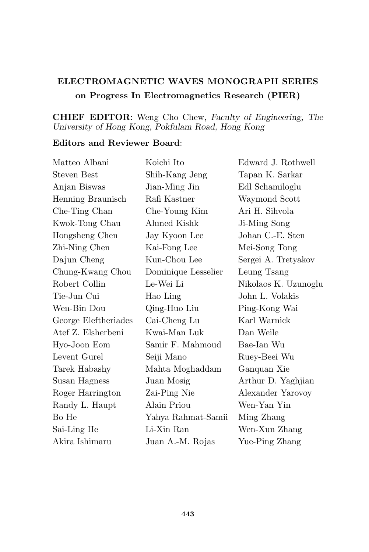## ELECTROMAGNETIC WAVES MONOGRAPH SERIES on Progress In Electromagnetics Research (PIER)

## CHIEF EDITOR: Weng Cho Chew, Faculty of Engineering, The University of Hong Kong, Pokfulam Road, Hong Kong

## Editors and Reviewer Board:

| Koichi Ito          | Edward J. Rothwell   |
|---------------------|----------------------|
| Shih-Kang Jeng      | Tapan K. Sarkar      |
| Jian-Ming Jin       | Edl Schamiloglu      |
| Rafi Kastner        | Waymond Scott        |
| Che-Young Kim       | Ari H. Sihvola       |
| Ahmed Kishk         | Ji-Ming Song         |
| Jay Kyoon Lee       | Johan C.-E. Sten     |
| Kai-Fong Lee        | Mei-Song Tong        |
| Kun-Chou Lee        | Sergei A. Tretyakov  |
| Dominique Lesselier | Leung Tsang          |
| Le-Wei Li           | Nikolaos K. Uzunoglu |
| Hao Ling            | John L. Volakis      |
| Qing-Huo Liu        | Ping-Kong Wai        |
| Cai-Cheng Lu        | Karl Warnick         |
| Kwai-Man Luk        | Dan Weile            |
| Samir F. Mahmoud    | Bae-Ian Wu           |
| Seiji Mano          | Ruey-Beei Wu         |
| Mahta Moghaddam     | Ganquan Xie          |
| Juan Mosig          | Arthur D. Yaghjian   |
| Zai-Ping Nie        | Alexander Yarovoy    |
| Alain Priou         | Wen-Yan Yin          |
| Yahya Rahmat-Samii  | Ming Zhang           |
| Li-Xin Ran          | Wen-Xun Zhang        |
| Juan A.-M. Rojas    | Yue-Ping Zhang       |
|                     |                      |